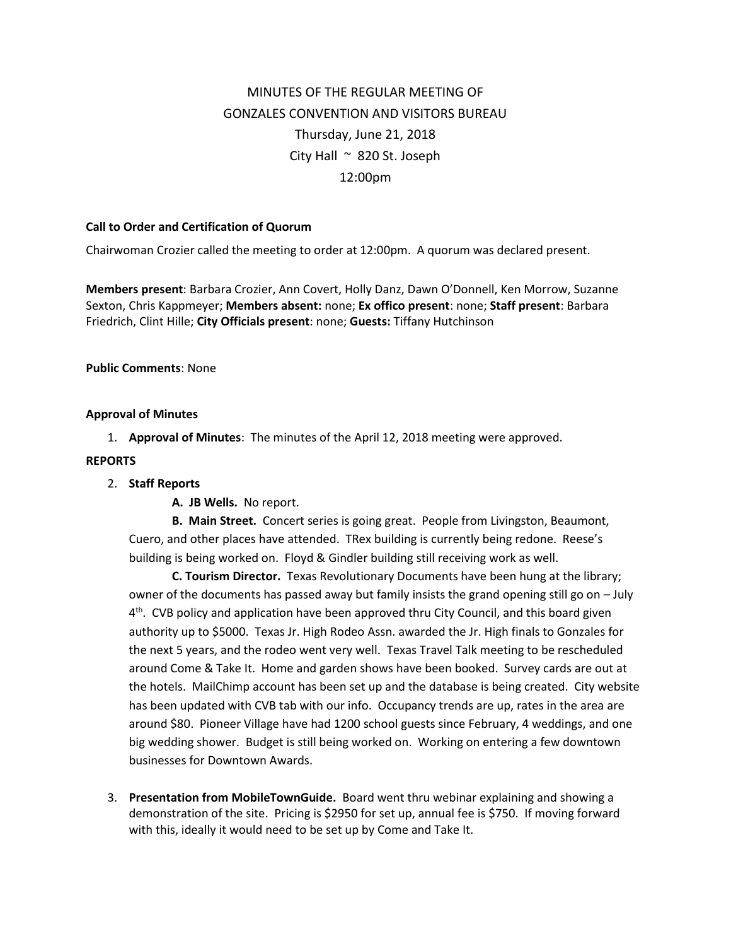# MINUTES OF THE REGULAR MEETING OF GONZALES CONVENTION AND VISITORS BUREAU Thursday, June 21, 2018 City Hall  $\sim$  820 St. Joseph 12:00pm

### **Call to Order and Certification of Quorum**

Chairwoman Crozier called the meeting to order at 12:00pm. A quorum was declared present.

**Members present**: Barbara Crozier, Ann Covert, Holly Danz, Dawn O'Donnell, Ken Morrow, Suzanne Sexton, Chris Kappmeyer; **Members absent:** none; **Ex offico present**: none; **Staff present**: Barbara Friedrich, Clint Hille; **City Officials present**: none; **Guests:** Tiffany Hutchinson

#### **Public Comments**: None

#### **Approval of Minutes**

1. **Approval of Minutes**: The minutes of the April 12, 2018 meeting were approved.

#### **REPORTS**

## 2. **Staff Reports**

**A. JB Wells.** No report.

**B. Main Street.** Concert series is going great. People from Livingston, Beaumont, Cuero, and other places have attended. TRex building is currently being redone. Reese's building is being worked on. Floyd & Gindler building still receiving work as well.

**C. Tourism Director.** Texas Revolutionary Documents have been hung at the library; owner of the documents has passed away but family insists the grand opening still go on – July 4<sup>th</sup>. CVB policy and application have been approved thru City Council, and this board given authority up to \$5000. Texas Jr. High Rodeo Assn. awarded the Jr. High finals to Gonzales for the next 5 years, and the rodeo went very well. Texas Travel Talk meeting to be rescheduled around Come & Take It. Home and garden shows have been booked. Survey cards are out at the hotels. MailChimp account has been set up and the database is being created. City website has been updated with CVB tab with our info. Occupancy trends are up, rates in the area are around \$80. Pioneer Village have had 1200 school guests since February, 4 weddings, and one big wedding shower. Budget is still being worked on. Working on entering a few downtown businesses for Downtown Awards.

3. **Presentation from MobileTownGuide.** Board went thru webinar explaining and showing a demonstration of the site. Pricing is \$2950 for set up, annual fee is \$750. If moving forward with this, ideally it would need to be set up by Come and Take It.